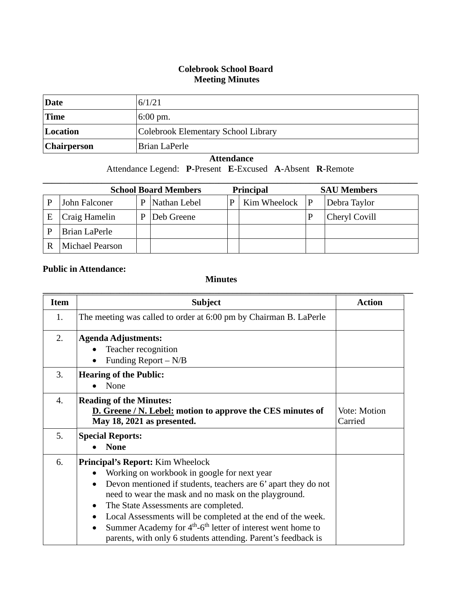## **Colebrook School Board Meeting Minutes**

| Date               | 6/1/21                              |
|--------------------|-------------------------------------|
| <b>Time</b>        | $6:00 \text{ pm}$ .                 |
| Location           | Colebrook Elementary School Library |
| <b>Chairperson</b> | Brian LaPerle                       |

## **Attendance**

Attendance Legend: **P**-Present **E**-Excused **A**-Absent **R**-Remote

| <b>School Board Members</b><br><b>Principal</b> |                 |   |              |   | <b>SAU Members</b> |  |               |
|-------------------------------------------------|-----------------|---|--------------|---|--------------------|--|---------------|
|                                                 | John Falconer   | P | Nathan Lebel | p | Kim Wheelock $ P $ |  | Debra Taylor  |
| E                                               | Craig Hamelin   | P | Deb Greene   |   |                    |  | Cheryl Covill |
|                                                 | Brian LaPerle   |   |              |   |                    |  |               |
|                                                 | Michael Pearson |   |              |   |                    |  |               |

## **Public in Attendance:**

## **Minutes**

| <b>Item</b>      | <b>Subject</b>                                                                                                                                                                                                                                                                                                                                                                                                                                                                                                            | <b>Action</b>           |
|------------------|---------------------------------------------------------------------------------------------------------------------------------------------------------------------------------------------------------------------------------------------------------------------------------------------------------------------------------------------------------------------------------------------------------------------------------------------------------------------------------------------------------------------------|-------------------------|
| 1.               | The meeting was called to order at 6:00 pm by Chairman B. LaPerle                                                                                                                                                                                                                                                                                                                                                                                                                                                         |                         |
| 2.               | <b>Agenda Adjustments:</b><br>Teacher recognition<br>Funding Report - N/B<br>$\bullet$                                                                                                                                                                                                                                                                                                                                                                                                                                    |                         |
| 3.               | <b>Hearing of the Public:</b><br>None                                                                                                                                                                                                                                                                                                                                                                                                                                                                                     |                         |
| $\overline{4}$ . | <b>Reading of the Minutes:</b><br>D. Greene / N. Lebel: motion to approve the CES minutes of<br>May 18, 2021 as presented.                                                                                                                                                                                                                                                                                                                                                                                                | Vote: Motion<br>Carried |
| 5.               | <b>Special Reports:</b><br><b>None</b>                                                                                                                                                                                                                                                                                                                                                                                                                                                                                    |                         |
| 6.               | <b>Principal's Report:</b> Kim Wheelock<br>Working on workbook in google for next year<br>$\bullet$<br>Devon mentioned if students, teachers are 6' apart they do not<br>$\bullet$<br>need to wear the mask and no mask on the playground.<br>The State Assessments are completed.<br>$\bullet$<br>Local Assessments will be completed at the end of the week.<br>$\bullet$<br>Summer Academy for $4th$ -6 <sup>th</sup> letter of interest went home to<br>parents, with only 6 students attending. Parent's feedback is |                         |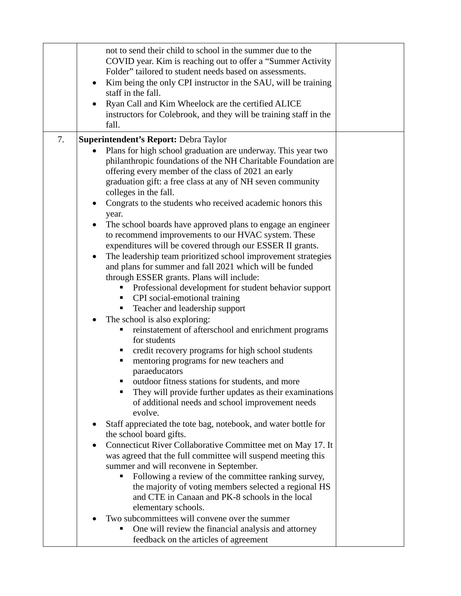|    | not to send their child to school in the summer due to the<br>COVID year. Kim is reaching out to offer a "Summer Activity"<br>Folder" tailored to student needs based on assessments.<br>Kim being the only CPI instructor in the SAU, will be training<br>staff in the fall.<br>Ryan Call and Kim Wheelock are the certified ALICE<br>instructors for Colebrook, and they will be training staff in the<br>fall.                                                                                                                                                                                                                                                                                                                                                                                                                                                                                                                                                                                                                                                                                                                                                                                                                                                                                                                                                                                                                                                                                                                                                                                     |  |
|----|-------------------------------------------------------------------------------------------------------------------------------------------------------------------------------------------------------------------------------------------------------------------------------------------------------------------------------------------------------------------------------------------------------------------------------------------------------------------------------------------------------------------------------------------------------------------------------------------------------------------------------------------------------------------------------------------------------------------------------------------------------------------------------------------------------------------------------------------------------------------------------------------------------------------------------------------------------------------------------------------------------------------------------------------------------------------------------------------------------------------------------------------------------------------------------------------------------------------------------------------------------------------------------------------------------------------------------------------------------------------------------------------------------------------------------------------------------------------------------------------------------------------------------------------------------------------------------------------------------|--|
| 7. |                                                                                                                                                                                                                                                                                                                                                                                                                                                                                                                                                                                                                                                                                                                                                                                                                                                                                                                                                                                                                                                                                                                                                                                                                                                                                                                                                                                                                                                                                                                                                                                                       |  |
|    | Superintendent's Report: Debra Taylor<br>Plans for high school graduation are underway. This year two<br>$\bullet$<br>philanthropic foundations of the NH Charitable Foundation are<br>offering every member of the class of 2021 an early<br>graduation gift: a free class at any of NH seven community<br>colleges in the fall.<br>Congrats to the students who received academic honors this<br>$\bullet$<br>year.<br>The school boards have approved plans to engage an engineer<br>to recommend improvements to our HVAC system. These<br>expenditures will be covered through our ESSER II grants.<br>The leadership team prioritized school improvement strategies<br>and plans for summer and fall 2021 which will be funded<br>through ESSER grants. Plans will include:<br>Professional development for student behavior support<br>CPI social-emotional training<br>Teacher and leadership support<br>п<br>The school is also exploring:<br>reinstatement of afterschool and enrichment programs<br>for students<br>credit recovery programs for high school students<br>mentoring programs for new teachers and<br>п<br>paraeducators<br>outdoor fitness stations for students, and more<br>They will provide further updates as their examinations<br>of additional needs and school improvement needs<br>evolve.<br>Staff appreciated the tote bag, notebook, and water bottle for<br>the school board gifts.<br>Connecticut River Collaborative Committee met on May 17. It<br>was agreed that the full committee will suspend meeting this<br>summer and will reconvene in September. |  |
|    | Following a review of the committee ranking survey,<br>the majority of voting members selected a regional HS<br>and CTE in Canaan and PK-8 schools in the local<br>elementary schools.                                                                                                                                                                                                                                                                                                                                                                                                                                                                                                                                                                                                                                                                                                                                                                                                                                                                                                                                                                                                                                                                                                                                                                                                                                                                                                                                                                                                                |  |
|    | Two subcommittees will convene over the summer<br>One will review the financial analysis and attorney<br>feedback on the articles of agreement                                                                                                                                                                                                                                                                                                                                                                                                                                                                                                                                                                                                                                                                                                                                                                                                                                                                                                                                                                                                                                                                                                                                                                                                                                                                                                                                                                                                                                                        |  |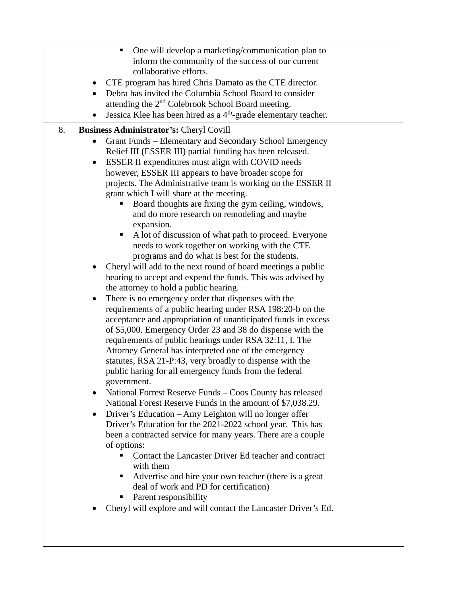|    | One will develop a marketing/communication plan to<br>inform the community of the success of our current                           |  |
|----|------------------------------------------------------------------------------------------------------------------------------------|--|
|    | collaborative efforts.                                                                                                             |  |
|    | CTE program has hired Chris Damato as the CTE director.<br>$\bullet$                                                               |  |
|    | Debra has invited the Columbia School Board to consider                                                                            |  |
|    | attending the 2 <sup>nd</sup> Colebrook School Board meeting.<br>Jessica Klee has been hired as a $4th$ -grade elementary teacher. |  |
|    |                                                                                                                                    |  |
| 8. | <b>Business Administrator's: Cheryl Covill</b><br>Grant Funds - Elementary and Secondary School Emergency                          |  |
|    | Relief III (ESSER III) partial funding has been released.                                                                          |  |
|    | ESSER II expenditures must align with COVID needs                                                                                  |  |
|    | however, ESSER III appears to have broader scope for                                                                               |  |
|    | projects. The Administrative team is working on the ESSER II<br>grant which I will share at the meeting.                           |  |
|    | Board thoughts are fixing the gym ceiling, windows,                                                                                |  |
|    | and do more research on remodeling and maybe                                                                                       |  |
|    | expansion.                                                                                                                         |  |
|    | A lot of discussion of what path to proceed. Everyone<br>ш<br>needs to work together on working with the CTE                       |  |
|    | programs and do what is best for the students.                                                                                     |  |
|    | Cheryl will add to the next round of board meetings a public                                                                       |  |
|    | hearing to accept and expend the funds. This was advised by<br>the attorney to hold a public hearing.                              |  |
|    | There is no emergency order that dispenses with the<br>$\bullet$                                                                   |  |
|    | requirements of a public hearing under RSA 198:20-b on the                                                                         |  |
|    | acceptance and appropriation of unanticipated funds in excess                                                                      |  |
|    | of \$5,000. Emergency Order 23 and 38 do dispense with the<br>requirements of public hearings under RSA 32:11, I. The              |  |
|    | Attorney General has interpreted one of the emergency                                                                              |  |
|    | statutes, RSA 21-P:43, very broadly to dispense with the                                                                           |  |
|    | public haring for all emergency funds from the federal                                                                             |  |
|    | government.<br>National Forrest Reserve Funds – Coos County has released                                                           |  |
|    | National Forest Reserve Funds in the amount of \$7,038.29.                                                                         |  |
|    | Driver's Education – Amy Leighton will no longer offer                                                                             |  |
|    | Driver's Education for the 2021-2022 school year. This has                                                                         |  |
|    | been a contracted service for many years. There are a couple<br>of options:                                                        |  |
|    | Contact the Lancaster Driver Ed teacher and contract                                                                               |  |
|    | with them                                                                                                                          |  |
|    | Advertise and hire your own teacher (there is a great<br>п<br>deal of work and PD for certification)                               |  |
|    | Parent responsibility                                                                                                              |  |
|    | Cheryl will explore and will contact the Lancaster Driver's Ed.                                                                    |  |
|    |                                                                                                                                    |  |
|    |                                                                                                                                    |  |
|    |                                                                                                                                    |  |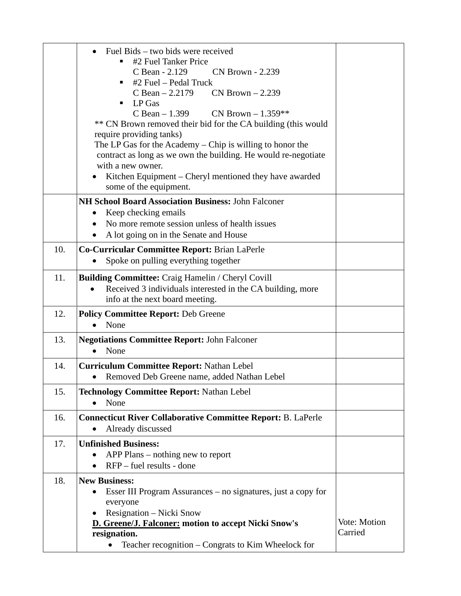|     | Fuel Bids – two bids were received                                                  |                         |
|-----|-------------------------------------------------------------------------------------|-------------------------|
|     | #2 Fuel Tanker Price                                                                |                         |
|     | C Bean - 2.129<br><b>CN Brown - 2.239</b><br>#2 Fuel – Pedal Truck<br>п             |                         |
|     | $CN Brown - 2.239$<br>C Bean $-2.2179$                                              |                         |
|     | LP Gas<br>٠                                                                         |                         |
|     | $C$ Bean $-1.399$<br>CN Brown $-1.359**$                                            |                         |
|     | ** CN Brown removed their bid for the CA building (this would                       |                         |
|     | require providing tanks)                                                            |                         |
|     | The LP Gas for the Academy - Chip is willing to honor the                           |                         |
|     | contract as long as we own the building. He would re-negotiate<br>with a new owner. |                         |
|     | Kitchen Equipment - Cheryl mentioned they have awarded                              |                         |
|     | some of the equipment.                                                              |                         |
|     | <b>NH School Board Association Business: John Falconer</b>                          |                         |
|     | Keep checking emails                                                                |                         |
|     | No more remote session unless of health issues                                      |                         |
|     | A lot going on in the Senate and House                                              |                         |
| 10. | Co-Curricular Committee Report: Brian LaPerle                                       |                         |
|     | Spoke on pulling everything together                                                |                         |
| 11. | <b>Building Committee:</b> Craig Hamelin / Cheryl Covill                            |                         |
|     | Received 3 individuals interested in the CA building, more                          |                         |
|     | info at the next board meeting.                                                     |                         |
| 12. | <b>Policy Committee Report: Deb Greene</b>                                          |                         |
|     | None                                                                                |                         |
| 13. | <b>Negotiations Committee Report: John Falconer</b>                                 |                         |
|     | None                                                                                |                         |
| 14. | <b>Curriculum Committee Report: Nathan Lebel</b>                                    |                         |
|     | Removed Deb Greene name, added Nathan Lebel                                         |                         |
| 15. | <b>Technology Committee Report: Nathan Lebel</b>                                    |                         |
|     | None                                                                                |                         |
| 16. | <b>Connecticut River Collaborative Committee Report: B. LaPerle</b>                 |                         |
|     | Already discussed                                                                   |                         |
| 17. | <b>Unfinished Business:</b>                                                         |                         |
|     | APP Plans – nothing new to report                                                   |                         |
|     | $RFP$ – fuel results - done                                                         |                         |
| 18. | <b>New Business:</b>                                                                |                         |
|     | Esser III Program Assurances – no signatures, just a copy for                       |                         |
|     | everyone                                                                            |                         |
|     | Resignation – Nicki Snow                                                            |                         |
|     | <b>D. Greene/J. Falconer: motion to accept Nicki Snow's</b>                         | Vote: Motion<br>Carried |
|     | resignation.                                                                        |                         |
|     | Teacher recognition – Congrats to Kim Wheelock for                                  |                         |